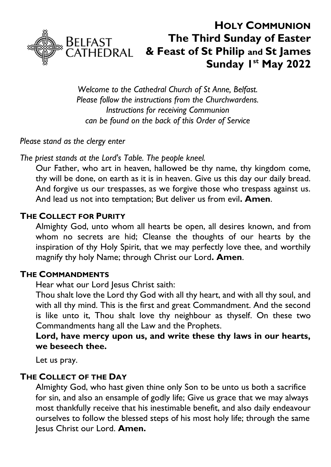

# **HOLY COMMUNION The Third Sunday of Easter & Feast of St Philip and St James Sunday 1 st May 2022**

*Welcome to the Cathedral Church of St Anne, Belfast. Please follow the instructions from the Churchwardens. Instructions for receiving Communion can be found on the back of this Order of Service*

*Please stand as the clergy enter*

*The priest stands at the Lord's Table. The people kneel.*

Our Father, who art in heaven, hallowed be thy name, thy kingdom come, thy will be done, on earth as it is in heaven. Give us this day our daily bread. And forgive us our trespasses, as we forgive those who trespass against us. And lead us not into temptation; But deliver us from evil**. Amen**.

#### **THE COLLECT FOR PURITY**

Almighty God, unto whom all hearts be open, all desires known, and from whom no secrets are hid; Cleanse the thoughts of our hearts by the inspiration of thy Holy Spirit, that we may perfectly love thee, and worthily magnify thy holy Name; through Christ our Lord**. Amen**.

#### **THE COMMANDMENTS**

Hear what our Lord Jesus Christ saith:

Thou shalt love the Lord thy God with all thy heart, and with all thy soul, and with all thy mind. This is the first and great Commandment. And the second is like unto it, Thou shalt love thy neighbour as thyself. On these two Commandments hang all the Law and the Prophets.

**Lord, have mercy upon us, and write these thy laws in our hearts, we beseech thee.**

Let us pray.

#### **THE COLLECT OF THE DAY**

Almighty God, who hast given thine only Son to be unto us both a sacrifice for sin, and also an ensample of godly life; Give us grace that we may always most thankfully receive that his inestimable benefit, and also daily endeavour ourselves to follow the blessed steps of his most holy life; through the same Jesus Christ our Lord. **Amen.**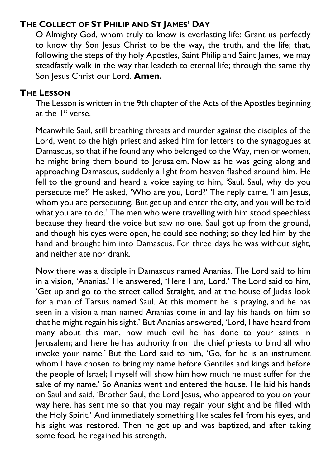#### **THE COLLECT OF ST PHILIP AND ST JAMES' DAY**

O Almighty God, whom truly to know is everlasting life: Grant us perfectly to know thy Son Jesus Christ to be the way, the truth, and the life; that, following the steps of thy holy Apostles, Saint Philip and Saint James, we may steadfastly walk in the way that leadeth to eternal life; through the same thy Son Jesus Christ our Lord. **Amen.**

#### **THE LESSON**

The Lesson is written in the 9th chapter of the Acts of the Apostles beginning at the 1<sup>st</sup> verse.

Meanwhile Saul, still breathing threats and murder against the disciples of the Lord, went to the high priest and asked him for letters to the synagogues at Damascus, so that if he found any who belonged to the Way, men or women, he might bring them bound to Jerusalem. Now as he was going along and approaching Damascus, suddenly a light from heaven flashed around him. He fell to the ground and heard a voice saying to him, 'Saul, Saul, why do you persecute me?' He asked, 'Who are you, Lord?' The reply came, 'I am Jesus, whom you are persecuting. But get up and enter the city, and you will be told what you are to do.' The men who were travelling with him stood speechless because they heard the voice but saw no one. Saul got up from the ground, and though his eyes were open, he could see nothing; so they led him by the hand and brought him into Damascus. For three days he was without sight, and neither ate nor drank.

Now there was a disciple in Damascus named Ananias. The Lord said to him in a vision, 'Ananias.' He answered, 'Here I am, Lord.' The Lord said to him, 'Get up and go to the street called Straight, and at the house of Judas look for a man of Tarsus named Saul. At this moment he is praying, and he has seen in a vision a man named Ananias come in and lay his hands on him so that he might regain his sight.' But Ananias answered, 'Lord, I have heard from many about this man, how much evil he has done to your saints in Jerusalem; and here he has authority from the chief priests to bind all who invoke your name.' But the Lord said to him, 'Go, for he is an instrument whom I have chosen to bring my name before Gentiles and kings and before the people of Israel; I myself will show him how much he must suffer for the sake of my name.' So Ananias went and entered the house. He laid his hands on Saul and said, 'Brother Saul, the Lord Jesus, who appeared to you on your way here, has sent me so that you may regain your sight and be filled with the Holy Spirit.' And immediately something like scales fell from his eyes, and his sight was restored. Then he got up and was baptized, and after taking some food, he regained his strength.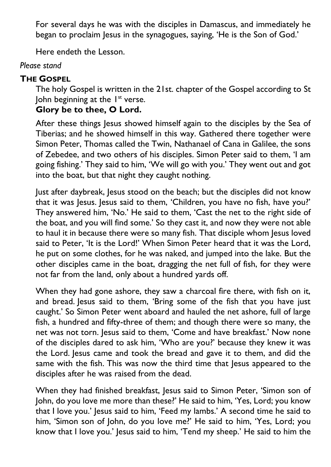For several days he was with the disciples in Damascus, and immediately he began to proclaim Jesus in the synagogues, saying, 'He is the Son of God.'

Here endeth the Lesson.

#### *Please stand*

## **THE GOSPEL**

The holy Gospel is written in the 21st. chapter of the Gospel according to St John beginning at the I<sup>st</sup> verse.

## **Glory be to thee, O Lord.**

After these things Jesus showed himself again to the disciples by the Sea of Tiberias; and he showed himself in this way. Gathered there together were Simon Peter, Thomas called the Twin, Nathanael of Cana in Galilee, the sons of Zebedee, and two others of his disciples. Simon Peter said to them, 'I am going fishing.' They said to him, 'We will go with you.' They went out and got into the boat, but that night they caught nothing.

Just after daybreak, Jesus stood on the beach; but the disciples did not know that it was Jesus. Jesus said to them, 'Children, you have no fish, have you?' They answered him, 'No.' He said to them, 'Cast the net to the right side of the boat, and you will find some.' So they cast it, and now they were not able to haul it in because there were so many fish. That disciple whom Jesus loved said to Peter, 'It is the Lord!' When Simon Peter heard that it was the Lord, he put on some clothes, for he was naked, and jumped into the lake. But the other disciples came in the boat, dragging the net full of fish, for they were not far from the land, only about a hundred yards off.

When they had gone ashore, they saw a charcoal fire there, with fish on it, and bread. Jesus said to them, 'Bring some of the fish that you have just caught.' So Simon Peter went aboard and hauled the net ashore, full of large fish, a hundred and fifty-three of them; and though there were so many, the net was not torn. Jesus said to them, 'Come and have breakfast.' Now none of the disciples dared to ask him, 'Who are you?' because they knew it was the Lord. Jesus came and took the bread and gave it to them, and did the same with the fish. This was now the third time that Jesus appeared to the disciples after he was raised from the dead.

When they had finished breakfast, Jesus said to Simon Peter, 'Simon son of John, do you love me more than these?' He said to him, 'Yes, Lord; you know that I love you.' Jesus said to him, 'Feed my lambs.' A second time he said to him, 'Simon son of John, do you love me?' He said to him, 'Yes, Lord; you know that I love you.' Jesus said to him, 'Tend my sheep.' He said to him the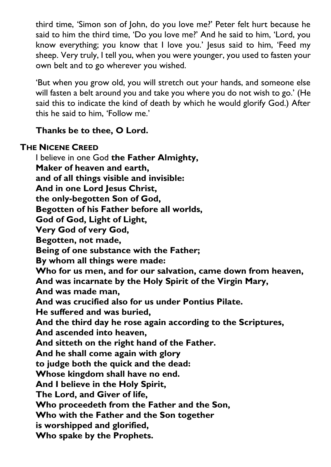third time, 'Simon son of John, do you love me?' Peter felt hurt because he said to him the third time, 'Do you love me?' And he said to him, 'Lord, you know everything; you know that I love you.' Jesus said to him, 'Feed my sheep. Very truly, I tell you, when you were younger, you used to fasten your own belt and to go wherever you wished.

'But when you grow old, you will stretch out your hands, and someone else will fasten a belt around you and take you where you do not wish to go.' (He said this to indicate the kind of death by which he would glorify God.) After this he said to him, 'Follow me.'

#### **Thanks be to thee, O Lord.**

#### **THE NICENE CREED**

I believe in one God **the Father Almighty, Maker of heaven and earth, and of all things visible and invisible: And in one Lord Jesus Christ, the only-begotten Son of God, Begotten of his Father before all worlds, God of God, Light of Light, Very God of very God, Begotten, not made, Being of one substance with the Father; By whom all things were made: Who for us men, and for our salvation, came down from heaven, And was incarnate by the Holy Spirit of the Virgin Mary, And was made man, And was crucified also for us under Pontius Pilate. He suffered and was buried, And the third day he rose again according to the Scriptures, And ascended into heaven, And sitteth on the right hand of the Father. And he shall come again with glory to judge both the quick and the dead: Whose kingdom shall have no end. And I believe in the Holy Spirit, The Lord, and Giver of life, Who proceedeth from the Father and the Son, Who with the Father and the Son together is worshipped and glorified, Who spake by the Prophets.**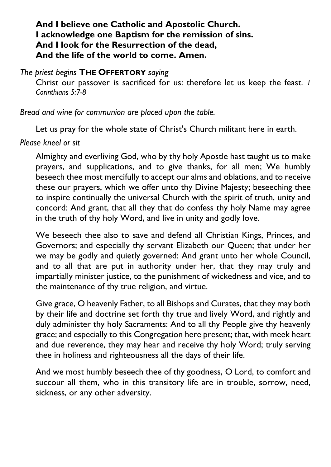#### **And I believe one Catholic and Apostolic Church. I acknowledge one Baptism for the remission of sins. And I look for the Resurrection of the dead, And the life of the world to come. Amen.**

#### *The priest begins* **THE OFFERTORY** *saying*

Christ our passover is sacrificed for us: therefore let us keep the feast. *1 Corinthians 5:7-8*

*Bread and wine for communion are placed upon the table.*

Let us pray for the whole state of Christ's Church militant here in earth.

#### *Please kneel or sit*

Almighty and everliving God, who by thy holy Apostle hast taught us to make prayers, and supplications, and to give thanks, for all men; We humbly beseech thee most mercifully to accept our alms and oblations, and to receive these our prayers, which we offer unto thy Divine Majesty; beseeching thee to inspire continually the universal Church with the spirit of truth, unity and concord: And grant, that all they that do confess thy holy Name may agree in the truth of thy holy Word, and live in unity and godly love.

We beseech thee also to save and defend all Christian Kings, Princes, and Governors; and especially thy servant Elizabeth our Queen; that under her we may be godly and quietly governed: And grant unto her whole Council, and to all that are put in authority under her, that they may truly and impartially minister justice, to the punishment of wickedness and vice, and to the maintenance of thy true religion, and virtue.

Give grace, O heavenly Father, to all Bishops and Curates, that they may both by their life and doctrine set forth thy true and lively Word, and rightly and duly administer thy holy Sacraments: And to all thy People give thy heavenly grace; and especially to this Congregation here present; that, with meek heart and due reverence, they may hear and receive thy holy Word; truly serving thee in holiness and righteousness all the days of their life.

And we most humbly beseech thee of thy goodness, O Lord, to comfort and succour all them, who in this transitory life are in trouble, sorrow, need, sickness, or any other adversity.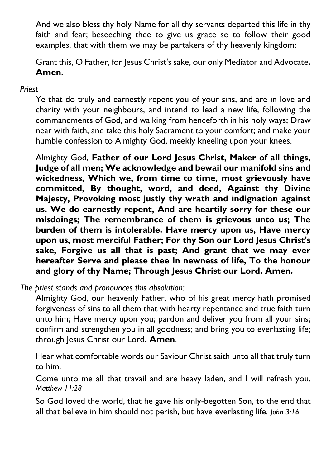And we also bless thy holy Name for all thy servants departed this life in thy faith and fear; beseeching thee to give us grace so to follow their good examples, that with them we may be partakers of thy heavenly kingdom:

Grant this, O Father, for Jesus Christ's sake, our only Mediator and Advocate**. Amen**.

#### *Priest*

Ye that do truly and earnestly repent you of your sins, and are in love and charity with your neighbours, and intend to lead a new life, following the commandments of God, and walking from henceforth in his holy ways; Draw near with faith, and take this holy Sacrament to your comfort; and make your humble confession to Almighty God, meekly kneeling upon your knees.

Almighty God, **Father of our Lord Jesus Christ, Maker of all things, Judge of all men; We acknowledge and bewail our manifold sins and wickedness, Which we, from time to time, most grievously have committed, By thought, word, and deed, Against thy Divine Majesty, Provoking most justly thy wrath and indignation against us. We do earnestly repent, And are heartily sorry for these our misdoings; The remembrance of them is grievous unto us; The burden of them is intolerable. Have mercy upon us, Have mercy upon us, most merciful Father; For thy Son our Lord Jesus Christ's sake, Forgive us all that is past; And grant that we may ever hereafter Serve and please thee In newness of life, To the honour and glory of thy Name; Through Jesus Christ our Lord. Amen.**

*The priest stands and pronounces this absolution:*

Almighty God, our heavenly Father, who of his great mercy hath promised forgiveness of sins to all them that with hearty repentance and true faith turn unto him; Have mercy upon you; pardon and deliver you from all your sins; confirm and strengthen you in all goodness; and bring you to everlasting life; through Jesus Christ our Lord**. Amen**.

Hear what comfortable words our Saviour Christ saith unto all that truly turn to him.

Come unto me all that travail and are heavy laden, and I will refresh you. *Matthew 11:28*

So God loved the world, that he gave his only-begotten Son, to the end that all that believe in him should not perish, but have everlasting life. *John 3:16*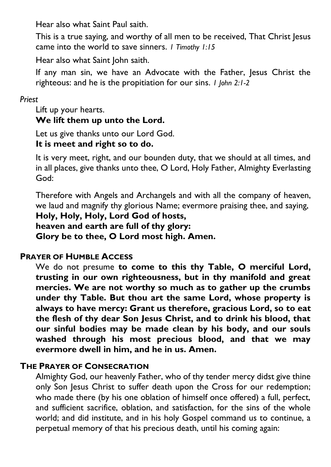Hear also what Saint Paul saith.

This is a true saying, and worthy of all men to be received, That Christ Jesus came into the world to save sinners. *1 Timothy 1:15*

Hear also what Saint John saith.

If any man sin, we have an Advocate with the Father, Jesus Christ the righteous: and he is the propitiation for our sins. *1 John 2:1-2*

#### *Priest*

Lift up your hearts.

#### **We lift them up unto the Lord.**

Let us give thanks unto our Lord God.

#### **It is meet and right so to do.**

It is very meet, right, and our bounden duty, that we should at all times, and in all places, give thanks unto thee, O Lord, Holy Father, Almighty Everlasting God:

Therefore with Angels and Archangels and with all the company of heaven, we laud and magnify thy glorious Name; evermore praising thee, and saying, **Holy, Holy, Holy, Lord God of hosts,**

**heaven and earth are full of thy glory: Glory be to thee, O Lord most high. Amen.**

## **PRAYER OF HUMBLE ACCESS**

We do not presume **to come to this thy Table, O merciful Lord, trusting in our own righteousness, but in thy manifold and great mercies. We are not worthy so much as to gather up the crumbs under thy Table. But thou art the same Lord, whose property is always to have mercy: Grant us therefore, gracious Lord, so to eat the flesh of thy dear Son Jesus Christ, and to drink his blood, that our sinful bodies may be made clean by his body, and our souls washed through his most precious blood, and that we may evermore dwell in him, and he in us. Amen.**

#### **THE PRAYER OF CONSECRATION**

Almighty God, our heavenly Father, who of thy tender mercy didst give thine only Son Jesus Christ to suffer death upon the Cross for our redemption; who made there (by his one oblation of himself once offered) a full, perfect, and sufficient sacrifice, oblation, and satisfaction, for the sins of the whole world; and did institute, and in his holy Gospel command us to continue, a perpetual memory of that his precious death, until his coming again: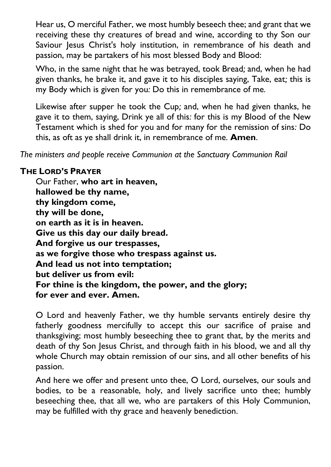Hear us, O merciful Father, we most humbly beseech thee; and grant that we receiving these thy creatures of bread and wine, according to thy Son our Saviour Jesus Christ's holy institution, in remembrance of his death and passion, may be partakers of his most blessed Body and Blood:

Who, in the same night that he was betrayed, took Bread*;* and, when he had given thanks, he brake it, and gave it to his disciples saying, Take, eat*;* this is my Body which is given for you*:* Do this in remembrance of me*.*

Likewise after supper he took the Cup*;* and, when he had given thanks, he gave it to them, saying, Drink ye all of this*:* for this is my Blood of the New Testament which is shed for you and for many for the remission of sins*:* Do this, as oft as ye shall drink it, in remembrance of me*.* **Amen**.

*The ministers and people receive Communion at the Sanctuary Communion Rail*

#### **THE LORD'S PRAYER**

Our Father, **who art in heaven, hallowed be thy name, thy kingdom come, thy will be done, on earth as it is in heaven. Give us this day our daily bread. And forgive us our trespasses, as we forgive those who trespass against us. And lead us not into temptation; but deliver us from evil: For thine is the kingdom, the power, and the glory; for ever and ever. Amen.**

O Lord and heavenly Father, we thy humble servants entirely desire thy fatherly goodness mercifully to accept this our sacrifice of praise and thanksgiving; most humbly beseeching thee to grant that, by the merits and death of thy Son Jesus Christ, and through faith in his blood, we and all thy whole Church may obtain remission of our sins, and all other benefits of his passion.

And here we offer and present unto thee, O Lord, ourselves, our souls and bodies, to be a reasonable, holy, and lively sacrifice unto thee; humbly beseeching thee, that all we, who are partakers of this Holy Communion, may be fulfilled with thy grace and heavenly benediction.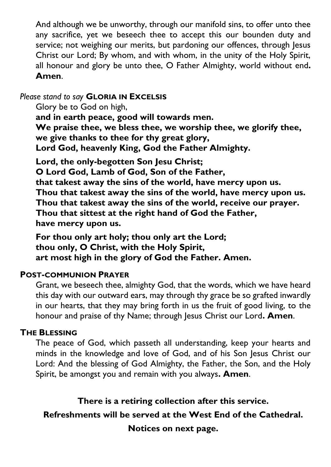And although we be unworthy, through our manifold sins, to offer unto thee any sacrifice, yet we beseech thee to accept this our bounden duty and service; not weighing our merits, but pardoning our offences, through Jesus Christ our Lord; By whom, and with whom, in the unity of the Holy Spirit, all honour and glory be unto thee, O Father Almighty, world without end**. Amen**.

#### *Please stand to say* **GLORIA IN EXCELSIS**

Glory be to God on high,

**and in earth peace, good will towards men. We praise thee, we bless thee, we worship thee, we glorify thee, we give thanks to thee for thy great glory, Lord God, heavenly King, God the Father Almighty.**

**Lord, the only-begotten Son Jesu Christ; O Lord God, Lamb of God, Son of the Father, that takest away the sins of the world, have mercy upon us. Thou that takest away the sins of the world, have mercy upon us. Thou that takest away the sins of the world, receive our prayer. Thou that sittest at the right hand of God the Father, have mercy upon us.**

**For thou only art holy; thou only art the Lord; thou only, O Christ, with the Holy Spirit, art most high in the glory of God the Father. Amen.**

#### **POST-COMMUNION PRAYER**

Grant, we beseech thee, almighty God, that the words, which we have heard this day with our outward ears, may through thy grace be so grafted inwardly in our hearts, that they may bring forth in us the fruit of good living, to the honour and praise of thy Name; through Jesus Christ our Lord**. Amen**.

#### **THE BLESSING**

The peace of God, which passeth all understanding, keep your hearts and minds in the knowledge and love of God, and of his Son Jesus Christ our Lord: And the blessing of God Almighty, the Father, the Son, and the Holy Spirit, be amongst you and remain with you always**. Amen**.

**There is a retiring collection after this service.**

**Refreshments will be served at the West End of the Cathedral.**

**Notices on next page.**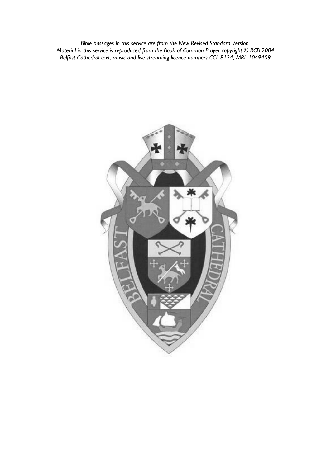*Bible passages in this service are from the New Revised Standard Version. Material in this service is reproduced from the Book of Common Prayer copyright © RCB 2004 Belfast Cathedral text, music and live streaming licence numbers CCL 8124, MRL 1049409*

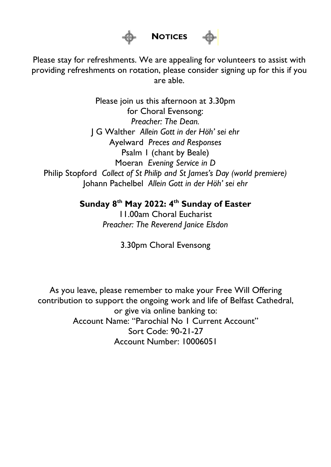

# **NOTICES**

Please stay for refreshments. We are appealing for volunteers to assist with providing refreshments on rotation, please consider signing up for this if you are able.

Please join us this afternoon at 3.30pm for Choral Evensong: *Preacher: The Dean.* J G Walther *Allein Gott in der Höh' sei ehr* Ayelward *Preces and Responses* Psalm 1 (chant by Beale) Moeran *Evening Service in D* Philip Stopford *Collect of St Philip and St James's Day (world premiere)* Johann Pachelbel *Allein Gott in der Höh' sei ehr*

**Sunday 8 th May 2022: 4th Sunday of Easter**

11.00am Choral Eucharist *Preacher: The Reverend Janice Elsdon*

3.30pm Choral Evensong

As you leave, please remember to make your Free Will Offering contribution to support the ongoing work and life of Belfast Cathedral, or give via online banking to: Account Name: "Parochial No 1 Current Account" Sort Code: 90-21-27 Account Number: 10006051